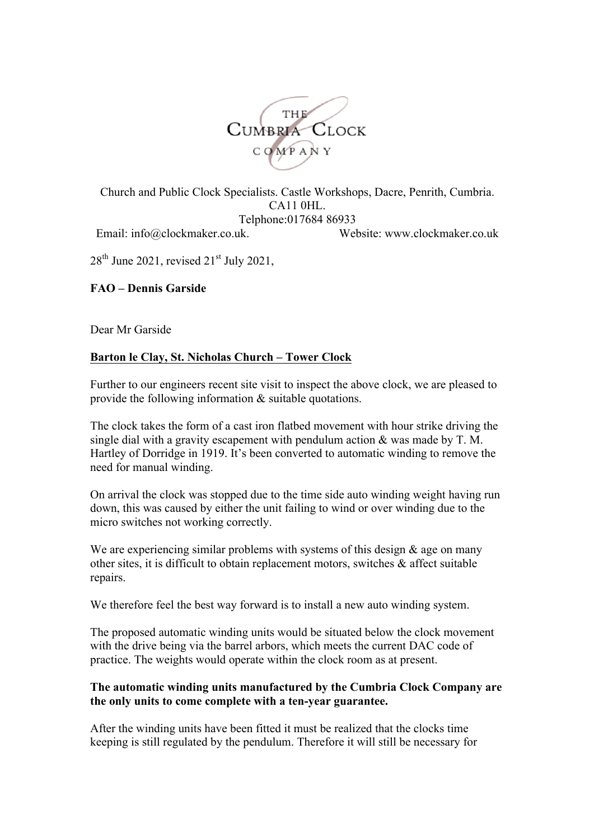

Church and Public Clock Specialists. Castle Workshops, Dacre, Penrith, Cumbria. CA11 0HL. Telphone:017684 86933 Email: info@clockmaker.co.uk. Website: www.clockmaker.co.uk

 $28<sup>th</sup>$  June 2021, revised  $21<sup>st</sup>$  July 2021,

# **FAO – Dennis Garside**

Dear Mr Garside

# **Barton le Clay, St. Nicholas Church – Tower Clock**

Further to our engineers recent site visit to inspect the above clock, we are pleased to provide the following information & suitable quotations.

The clock takes the form of a cast iron flatbed movement with hour strike driving the single dial with a gravity escapement with pendulum action  $\&$  was made by T. M. Hartley of Dorridge in 1919. It's been converted to automatic winding to remove the need for manual winding.

On arrival the clock was stopped due to the time side auto winding weight having run down, this was caused by either the unit failing to wind or over winding due to the micro switches not working correctly.

We are experiencing similar problems with systems of this design  $\&$  age on many other sites, it is difficult to obtain replacement motors, switches & affect suitable repairs.

We therefore feel the best way forward is to install a new auto winding system.

The proposed automatic winding units would be situated below the clock movement with the drive being via the barrel arbors, which meets the current DAC code of practice. The weights would operate within the clock room as at present.

#### **The automatic winding units manufactured by the Cumbria Clock Company are the only units to come complete with a ten-year guarantee.**

After the winding units have been fitted it must be realized that the clocks time keeping is still regulated by the pendulum. Therefore it will still be necessary for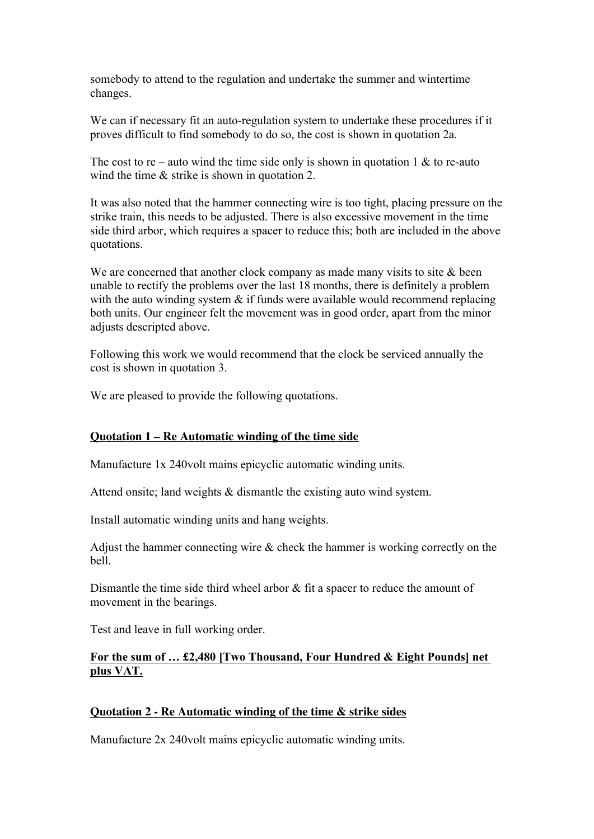somebody to attend to the regulation and undertake the summer and wintertime changes.

We can if necessary fit an auto-regulation system to undertake these procedures if it proves difficult to find somebody to do so, the cost is shown in quotation 2a.

The cost to re – auto wind the time side only is shown in quotation 1  $\&$  to re-auto wind the time  $\&$  strike is shown in quotation 2.

It was also noted that the hammer connecting wire is too tight, placing pressure on the strike train, this needs to be adjusted. There is also excessive movement in the time side third arbor, which requires a spacer to reduce this; both are included in the above quotations.

We are concerned that another clock company as made many visits to site  $\&$  been unable to rectify the problems over the last 18 months, there is definitely a problem with the auto winding system  $\&$  if funds were available would recommend replacing both units. Our engineer felt the movement was in good order, apart from the minor adjusts descripted above.

Following this work we would recommend that the clock be serviced annually the cost is shown in quotation 3.

We are pleased to provide the following quotations.

## **Quotation 1 – Re Automatic winding of the time side**

Manufacture 1x 240volt mains epicyclic automatic winding units.

Attend onsite; land weights & dismantle the existing auto wind system.

Install automatic winding units and hang weights.

Adjust the hammer connecting wire & check the hammer is working correctly on the bell.

Dismantle the time side third wheel arbor  $\&$  fit a spacer to reduce the amount of movement in the bearings.

Test and leave in full working order.

## **For the sum of … £2,480 [Two Thousand, Four Hundred & Eight Pounds] net plus VAT.**

## **Quotation 2 - Re Automatic winding of the time & strike sides**

Manufacture 2x 240volt mains epicyclic automatic winding units.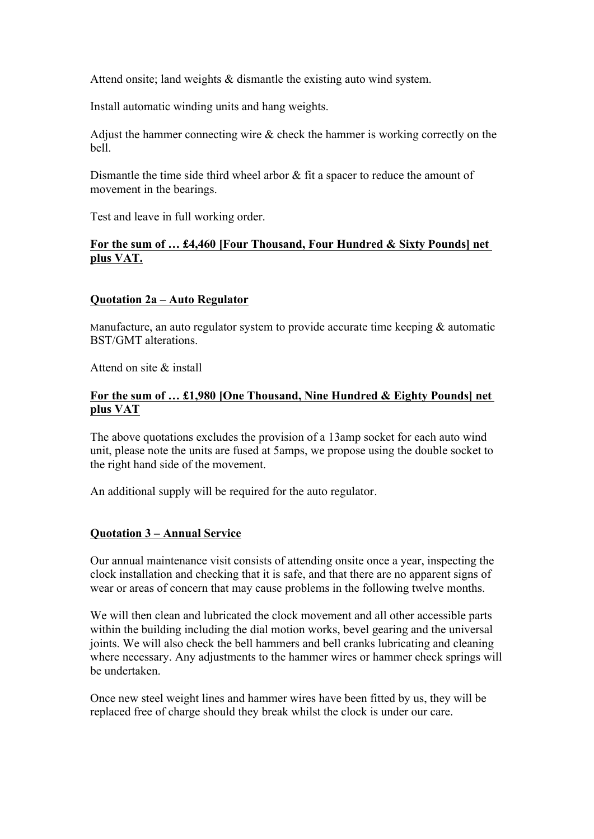Attend onsite; land weights & dismantle the existing auto wind system.

Install automatic winding units and hang weights.

Adjust the hammer connecting wire  $\&$  check the hammer is working correctly on the bell.

Dismantle the time side third wheel arbor  $\&$  fit a spacer to reduce the amount of movement in the bearings.

Test and leave in full working order.

## **For the sum of … £4,460 [Four Thousand, Four Hundred & Sixty Pounds] net plus VAT.**

## **Quotation 2a – Auto Regulator**

Manufacture, an auto regulator system to provide accurate time keeping & automatic BST/GMT alterations.

Attend on site & install

#### **For the sum of … £1,980 [One Thousand, Nine Hundred & Eighty Pounds] net plus VAT**

The above quotations excludes the provision of a 13amp socket for each auto wind unit, please note the units are fused at 5amps, we propose using the double socket to the right hand side of the movement.

An additional supply will be required for the auto regulator.

## **Quotation 3 – Annual Service**

Our annual maintenance visit consists of attending onsite once a year, inspecting the clock installation and checking that it is safe, and that there are no apparent signs of wear or areas of concern that may cause problems in the following twelve months.

We will then clean and lubricated the clock movement and all other accessible parts within the building including the dial motion works, bevel gearing and the universal joints. We will also check the bell hammers and bell cranks lubricating and cleaning where necessary. Any adjustments to the hammer wires or hammer check springs will be undertaken.

Once new steel weight lines and hammer wires have been fitted by us, they will be replaced free of charge should they break whilst the clock is under our care.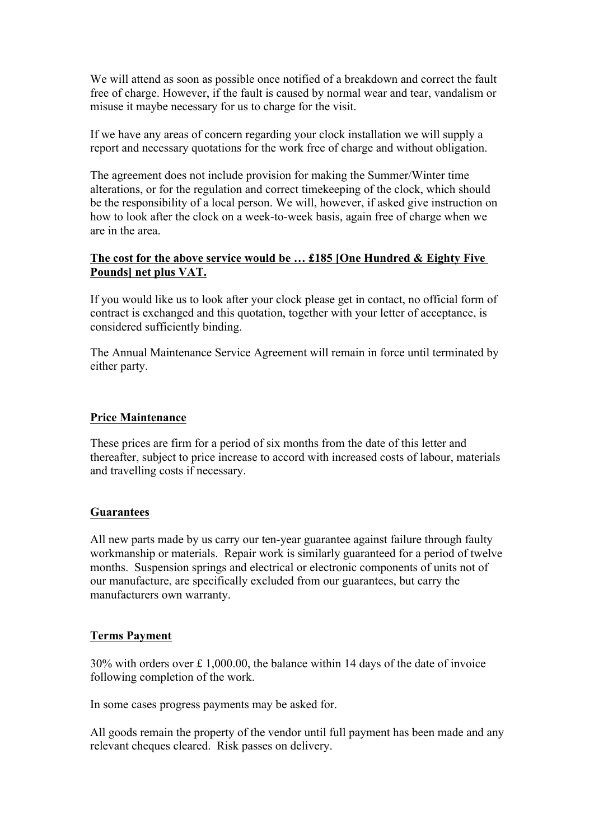We will attend as soon as possible once notified of a breakdown and correct the fault free of charge. However, if the fault is caused by normal wear and tear, vandalism or misuse it maybe necessary for us to charge for the visit.

If we have any areas of concern regarding your clock installation we will supply a report and necessary quotations for the work free of charge and without obligation.

The agreement does not include provision for making the Summer/Winter time alterations, or for the regulation and correct timekeeping of the clock, which should be the responsibility of a local person. We will, however, if asked give instruction on how to look after the clock on a week-to-week basis, again free of charge when we are in the area.

#### **The cost for the above service would be … £185 [One Hundred & Eighty Five Pounds] net plus VAT.**

If you would like us to look after your clock please get in contact, no official form of contract is exchanged and this quotation, together with your letter of acceptance, is considered sufficiently binding.

The Annual Maintenance Service Agreement will remain in force until terminated by either party.

## **Price Maintenance**

These prices are firm for a period of six months from the date of this letter and thereafter, subject to price increase to accord with increased costs of labour, materials and travelling costs if necessary.

#### **Guarantees**

All new parts made by us carry our ten-year guarantee against failure through faulty workmanship or materials. Repair work is similarly guaranteed for a period of twelve months. Suspension springs and electrical or electronic components of units not of our manufacture, are specifically excluded from our guarantees, but carry the manufacturers own warranty.

#### **Terms Payment**

30% with orders over £ 1,000.00, the balance within 14 days of the date of invoice following completion of the work.

In some cases progress payments may be asked for.

All goods remain the property of the vendor until full payment has been made and any relevant cheques cleared. Risk passes on delivery.